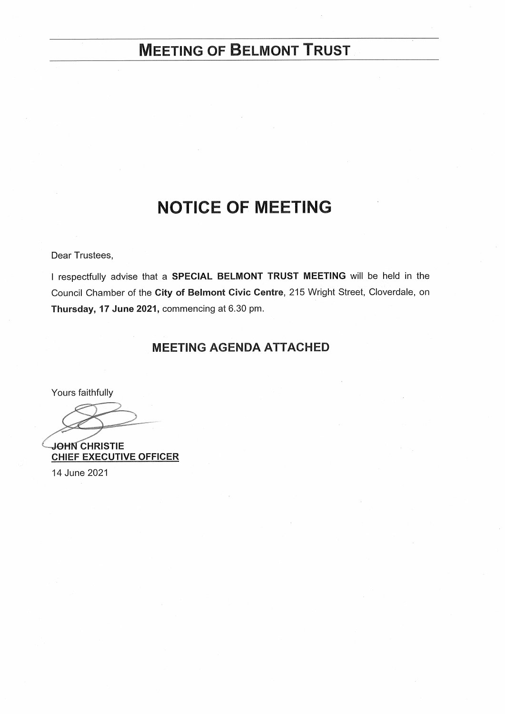# **MEETING OF BELMONT TRUST**

# **NOTICE OF MEETING**

Dear Trustees,

I respectfully advise that a SPECIAL BELMONT TRUST MEETING will be held in the Council Chamber of the City of Belmont Civic Centre, 215 Wright Street, Cloverdale, on Thursday, 17 June 2021, commencing at 6.30 pm.

# **MEETING AGENDA ATTACHED**

Yours faithfully

**JOHN CHRISTIE CHIEF EXECUTIVE OFFICER** 

14 June 2021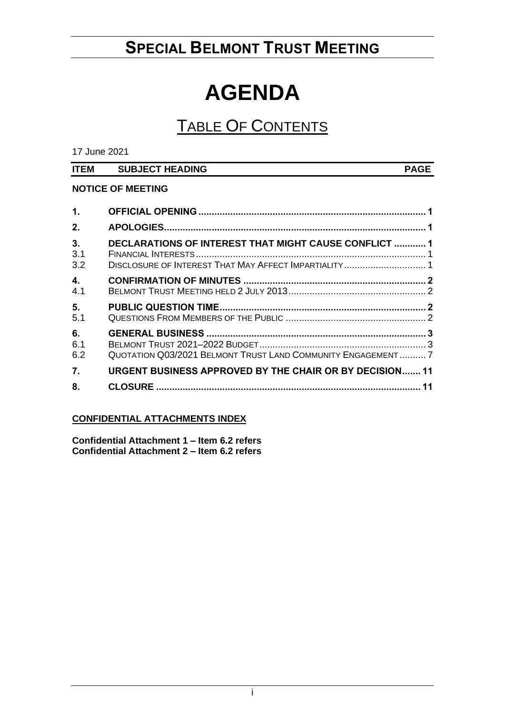# **SPECIAL BELMONT TRUST MEETING**

# **AGENDA**

# TABLE OF CONTENTS

17 June 2021

| <b>ITEM</b> | <b>SUBJECT HEADING</b> | <b>PAGE</b> |
|-------------|------------------------|-------------|
|             |                        |             |

# **NOTICE OF MEETING**

| 1.               |                                                                                                                |  |
|------------------|----------------------------------------------------------------------------------------------------------------|--|
| 2.               |                                                                                                                |  |
| 3.<br>3.1<br>3.2 | DECLARATIONS OF INTEREST THAT MIGHT CAUSE CONFLICT  1<br>DISCLOSURE OF INTEREST THAT MAY AFFECT IMPARTIALITY 1 |  |
| 4.<br>4.1        |                                                                                                                |  |
| 5.<br>5.1        |                                                                                                                |  |
| 6.<br>6.1<br>6.2 | QUOTATION Q03/2021 BELMONT TRUST LAND COMMUNITY ENGAGEMENT7                                                    |  |
| 7.               | <b>URGENT BUSINESS APPROVED BY THE CHAIR OR BY DECISION 11</b>                                                 |  |
| 8.               |                                                                                                                |  |

# **CONFIDENTIAL ATTACHMENTS INDEX**

**Confidential Attachment 1 – Item 6.2 refers Confidential Attachment 2 – Item 6.2 refers**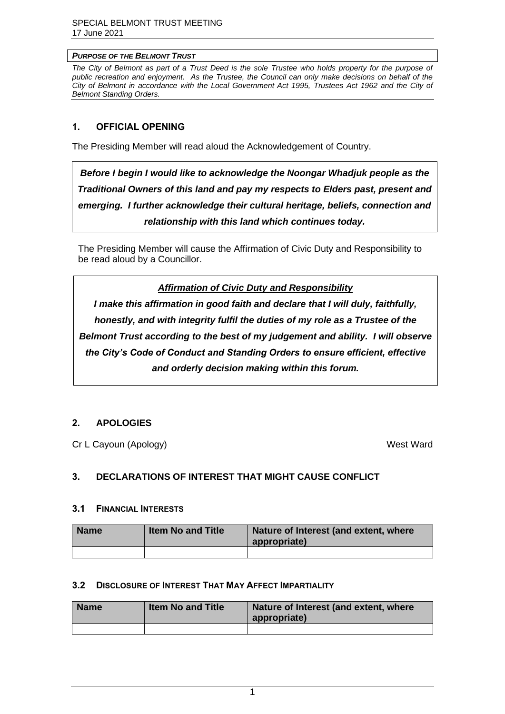#### *PURPOSE OF THE BELMONT TRUST*

The City of Belmont as part of a Trust Deed is the sole Trustee who holds property for the purpose of *public recreation and enjoyment. As the Trustee, the Council can only make decisions on behalf of the City of Belmont in accordance with the Local Government Act 1995, Trustees Act 1962 and the City of Belmont Standing Orders.*

# <span id="page-2-0"></span>**1. OFFICIAL OPENING**

The Presiding Member will read aloud the Acknowledgement of Country.

*Before I begin I would like to acknowledge the Noongar Whadjuk people as the Traditional Owners of this land and pay my respects to Elders past, present and emerging. I further acknowledge their cultural heritage, beliefs, connection and relationship with this land which continues today.* 

The Presiding Member will cause the Affirmation of Civic Duty and Responsibility to be read aloud by a Councillor.

*Affirmation of Civic Duty and Responsibility*

*I make this affirmation in good faith and declare that I will duly, faithfully, honestly, and with integrity fulfil the duties of my role as a Trustee of the Belmont Trust according to the best of my judgement and ability. I will observe the City's Code of Conduct and Standing Orders to ensure efficient, effective and orderly decision making within this forum.*

# <span id="page-2-1"></span>**2. APOLOGIES**

Cr L Cayoun (Apology) West Ward

# <span id="page-2-2"></span>**3. DECLARATIONS OF INTEREST THAT MIGHT CAUSE CONFLICT**

#### <span id="page-2-3"></span>**3.1 FINANCIAL INTERESTS**

| <b>Name</b> | <b>Item No and Title</b> | Nature of Interest (and extent, where<br>appropriate) |
|-------------|--------------------------|-------------------------------------------------------|
|             |                          |                                                       |

# <span id="page-2-4"></span>**3.2 DISCLOSURE OF INTEREST THAT MAY AFFECT IMPARTIALITY**

<span id="page-2-5"></span>

| <b>Name</b> | <b>Item No and Title</b> | Nature of Interest (and extent, where<br>appropriate) |
|-------------|--------------------------|-------------------------------------------------------|
|             |                          |                                                       |

1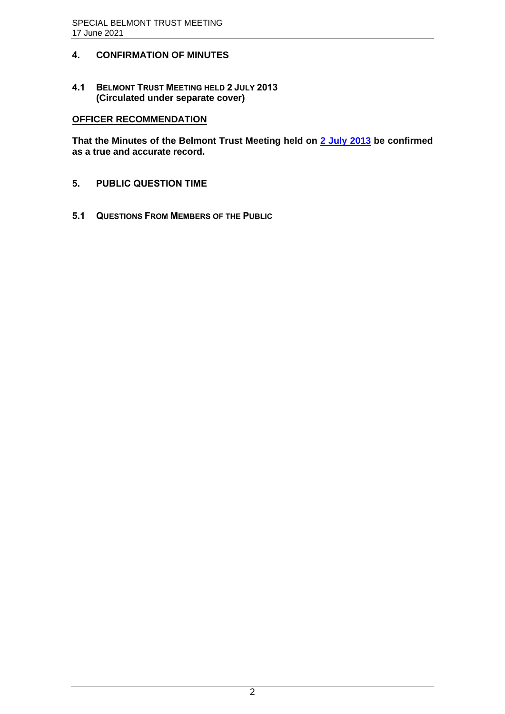# **4. CONFIRMATION OF MINUTES**

<span id="page-3-0"></span>**4.1 BELMONT TRUST MEETING HELD 2 JULY 2013 (Circulated under separate cover)**

# **OFFICER RECOMMENDATION**

**That the Minutes of the Belmont Trust Meeting held on [2 July 2013](https://www.belmont.wa.gov.au/docs/ecm/Belmont%20Trust%20Meeting%202%20July%202013%20Minutes) be confirmed as a true and accurate record.**

- <span id="page-3-1"></span>**5. PUBLIC QUESTION TIME**
- <span id="page-3-2"></span>**5.1 QUESTIONS FROM MEMBERS OF THE PUBLIC**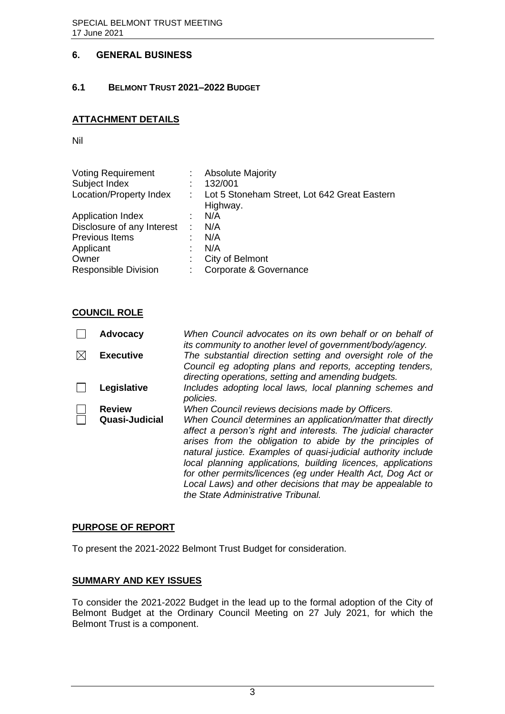# <span id="page-4-0"></span>**6. GENERAL BUSINESS**

# <span id="page-4-1"></span>**6.1 BELMONT TRUST 2021–2022 BUDGET**

# **ATTACHMENT DETAILS**

Nil

| <b>Voting Requirement</b>   | t. | <b>Absolute Majority</b>                                 |
|-----------------------------|----|----------------------------------------------------------|
| Subject Index               |    | 132/001                                                  |
| Location/Property Index     | ÷  | Lot 5 Stoneham Street, Lot 642 Great Eastern<br>Highway. |
| <b>Application Index</b>    |    | N/A                                                      |
| Disclosure of any Interest  | ÷  | N/A                                                      |
| Previous Items              | t  | N/A                                                      |
| Applicant                   |    | N/A                                                      |
| Owner                       | ÷  | City of Belmont                                          |
| <b>Responsible Division</b> | ÷. | Corporate & Governance                                   |

# **COUNCIL ROLE**

| <b>Advocacy</b>  | When Council advocates on its own behalf or on behalf of<br>its community to another level of government/body/agency.                                                                                                                                                                                                                                                                                                                                                                       |
|------------------|---------------------------------------------------------------------------------------------------------------------------------------------------------------------------------------------------------------------------------------------------------------------------------------------------------------------------------------------------------------------------------------------------------------------------------------------------------------------------------------------|
| <b>Executive</b> | The substantial direction setting and oversight role of the<br>Council eg adopting plans and reports, accepting tenders,<br>directing operations, setting and amending budgets.                                                                                                                                                                                                                                                                                                             |
| Legislative      | Includes adopting local laws, local planning schemes and<br>policies.                                                                                                                                                                                                                                                                                                                                                                                                                       |
| <b>Review</b>    | When Council reviews decisions made by Officers.                                                                                                                                                                                                                                                                                                                                                                                                                                            |
| Quasi-Judicial   | When Council determines an application/matter that directly<br>affect a person's right and interests. The judicial character<br>arises from the obligation to abide by the principles of<br>natural justice. Examples of quasi-judicial authority include<br>local planning applications, building licences, applications<br>for other permits/licences (eg under Health Act, Dog Act or<br>Local Laws) and other decisions that may be appealable to<br>the State Administrative Tribunal. |

# **PURPOSE OF REPORT**

To present the 2021-2022 Belmont Trust Budget for consideration.

# **SUMMARY AND KEY ISSUES**

To consider the 2021-2022 Budget in the lead up to the formal adoption of the City of Belmont Budget at the Ordinary Council Meeting on 27 July 2021, for which the Belmont Trust is a component.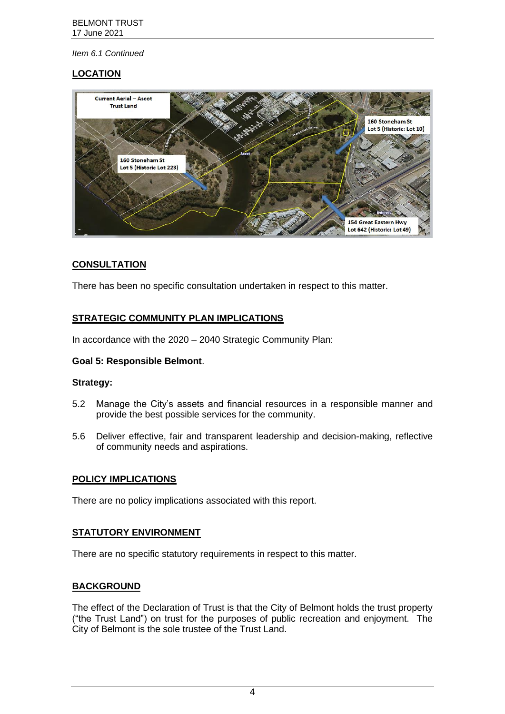# **LOCATION**



# **CONSULTATION**

There has been no specific consultation undertaken in respect to this matter.

# **STRATEGIC COMMUNITY PLAN IMPLICATIONS**

In accordance with the 2020 – 2040 Strategic Community Plan:

# **Goal 5: Responsible Belmont**.

# **Strategy:**

- 5.2 Manage the City's assets and financial resources in a responsible manner and provide the best possible services for the community.
- 5.6 Deliver effective, fair and transparent leadership and decision-making, reflective of community needs and aspirations.

# **POLICY IMPLICATIONS**

There are no policy implications associated with this report.

# **STATUTORY ENVIRONMENT**

There are no specific statutory requirements in respect to this matter.

# **BACKGROUND**

The effect of the Declaration of Trust is that the City of Belmont holds the trust property ("the Trust Land") on trust for the purposes of public recreation and enjoyment. The City of Belmont is the sole trustee of the Trust Land.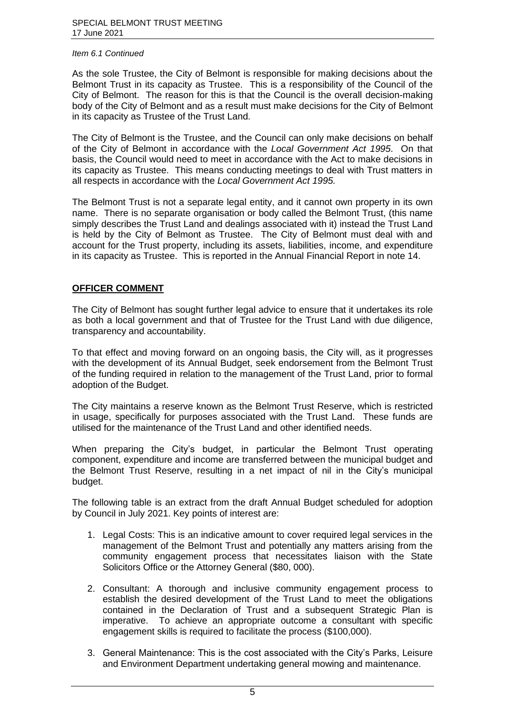As the sole Trustee, the City of Belmont is responsible for making decisions about the Belmont Trust in its capacity as Trustee. This is a responsibility of the Council of the City of Belmont. The reason for this is that the Council is the overall decision-making body of the City of Belmont and as a result must make decisions for the City of Belmont in its capacity as Trustee of the Trust Land.

The City of Belmont is the Trustee, and the Council can only make decisions on behalf of the City of Belmont in accordance with the *Local Government Act 1995*. On that basis, the Council would need to meet in accordance with the Act to make decisions in its capacity as Trustee. This means conducting meetings to deal with Trust matters in all respects in accordance with the *Local Government Act 1995.*

The Belmont Trust is not a separate legal entity, and it cannot own property in its own name. There is no separate organisation or body called the Belmont Trust, (this name simply describes the Trust Land and dealings associated with it) instead the Trust Land is held by the City of Belmont as Trustee. The City of Belmont must deal with and account for the Trust property, including its assets, liabilities, income, and expenditure in its capacity as Trustee. This is reported in the Annual Financial Report in note 14.

# **OFFICER COMMENT**

The City of Belmont has sought further legal advice to ensure that it undertakes its role as both a local government and that of Trustee for the Trust Land with due diligence, transparency and accountability.

To that effect and moving forward on an ongoing basis, the City will, as it progresses with the development of its Annual Budget, seek endorsement from the Belmont Trust of the funding required in relation to the management of the Trust Land, prior to formal adoption of the Budget.

The City maintains a reserve known as the Belmont Trust Reserve, which is restricted in usage, specifically for purposes associated with the Trust Land. These funds are utilised for the maintenance of the Trust Land and other identified needs.

When preparing the City's budget, in particular the Belmont Trust operating component, expenditure and income are transferred between the municipal budget and the Belmont Trust Reserve, resulting in a net impact of nil in the City's municipal budget.

The following table is an extract from the draft Annual Budget scheduled for adoption by Council in July 2021. Key points of interest are:

- 1. Legal Costs: This is an indicative amount to cover required legal services in the management of the Belmont Trust and potentially any matters arising from the community engagement process that necessitates liaison with the State Solicitors Office or the Attorney General (\$80, 000).
- 2. Consultant: A thorough and inclusive community engagement process to establish the desired development of the Trust Land to meet the obligations contained in the Declaration of Trust and a subsequent Strategic Plan is imperative. To achieve an appropriate outcome a consultant with specific engagement skills is required to facilitate the process (\$100,000).
- 3. General Maintenance: This is the cost associated with the City's Parks, Leisure and Environment Department undertaking general mowing and maintenance.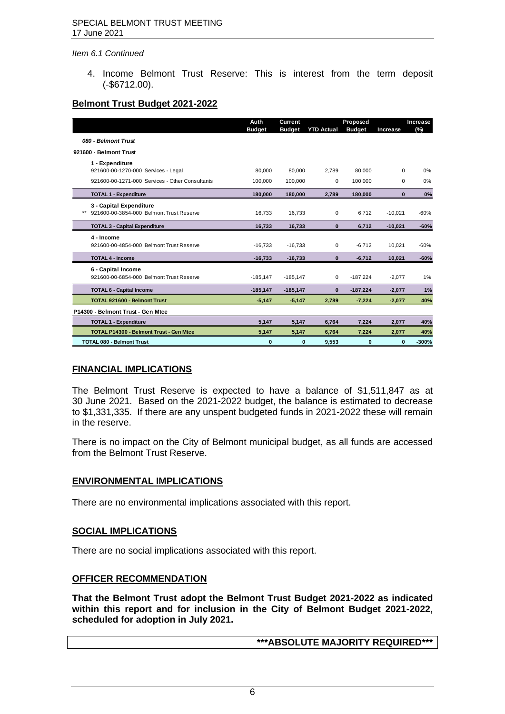4. Income Belmont Trust Reserve: This is interest from the term deposit (-\$6712.00).

# **Belmont Trust Budget 2021-2022**

|                                                                           | Auth<br><b>Budget</b> | <b>Current</b><br><b>Budget</b> | <b>YTD Actual</b> | Proposed<br><b>Budget</b> | Increase  | Increase<br>(%) |
|---------------------------------------------------------------------------|-----------------------|---------------------------------|-------------------|---------------------------|-----------|-----------------|
| 080 - Belmont Trust                                                       |                       |                                 |                   |                           |           |                 |
| 921600 - Belmont Trust                                                    |                       |                                 |                   |                           |           |                 |
| 1 - Expenditure<br>921600-00-1270-000 Services - Legal                    | 80.000                | 80,000                          | 2.789             | 80.000                    | 0         | 0%              |
| 921600-00-1271-000 Services - Other Consultants                           | 100.000               | 100.000                         | 0                 | 100.000                   | 0         | 0%              |
| <b>TOTAL 1 - Expenditure</b>                                              | 180,000               | 180,000                         | 2,789             | 180,000                   | $\bf{0}$  | 0%              |
| 3 - Capital Expenditure<br>921600-00-3854-000 Belmont Trust Reserve<br>** | 16,733                | 16,733                          | 0                 | 6.712                     | $-10,021$ | $-60%$          |
| <b>TOTAL 3 - Capital Expenditure</b>                                      | 16,733                | 16,733                          | $\bf{0}$          | 6.712                     | $-10,021$ | $-60%$          |
| 4 - Income<br>921600-00-4854-000 Belmont Trust Reserve                    | $-16.733$             | $-16.733$                       | $\mathbf 0$       | $-6.712$                  | 10,021    | $-60%$          |
| <b>TOTAL 4 - Income</b>                                                   | $-16,733$             | $-16,733$                       | $\mathbf{0}$      | $-6,712$                  | 10,021    | $-60%$          |
| 6 - Capital Income<br>921600-00-6854-000 Belmont Trust Reserve            | $-185,147$            | $-185, 147$                     | $\Omega$          | $-187,224$                | $-2,077$  | 1%              |
| <b>TOTAL 6 - Capital Income</b>                                           | $-185, 147$           | $-185, 147$                     | $\bf{0}$          | $-187,224$                | $-2,077$  | 1%              |
| <b>TOTAL 921600 - Belmont Trust</b>                                       | $-5.147$              | $-5,147$                        | 2.789             | $-7.224$                  | $-2.077$  | 40%             |
| P14300 - Belmont Trust - Gen Mtce                                         |                       |                                 |                   |                           |           |                 |
| <b>TOTAL 1 - Expenditure</b>                                              | 5,147                 | 5,147                           | 6,764             | 7,224                     | 2,077     | 40%             |
| <b>TOTAL P14300 - Belmont Trust - Gen Mtce</b>                            | 5,147                 | 5,147                           | 6,764             | 7,224                     | 2,077     | 40%             |
| <b>TOTAL 080 - Belmont Trust</b>                                          | 0                     | 0                               | 9,553             | $\bf{0}$                  | 0         | $-300%$         |

# **FINANCIAL IMPLICATIONS**

The Belmont Trust Reserve is expected to have a balance of \$1,511,847 as at 30 June 2021. Based on the 2021-2022 budget, the balance is estimated to decrease to \$1,331,335. If there are any unspent budgeted funds in 2021-2022 these will remain in the reserve.

There is no impact on the City of Belmont municipal budget, as all funds are accessed from the Belmont Trust Reserve.

# **ENVIRONMENTAL IMPLICATIONS**

There are no environmental implications associated with this report.

#### **SOCIAL IMPLICATIONS**

There are no social implications associated with this report.

# **OFFICER RECOMMENDATION**

**That the Belmont Trust adopt the Belmont Trust Budget 2021-2022 as indicated within this report and for inclusion in the City of Belmont Budget 2021-2022, scheduled for adoption in July 2021.**

# **\*\*\*ABSOLUTE MAJORITY REQUIRED\*\*\***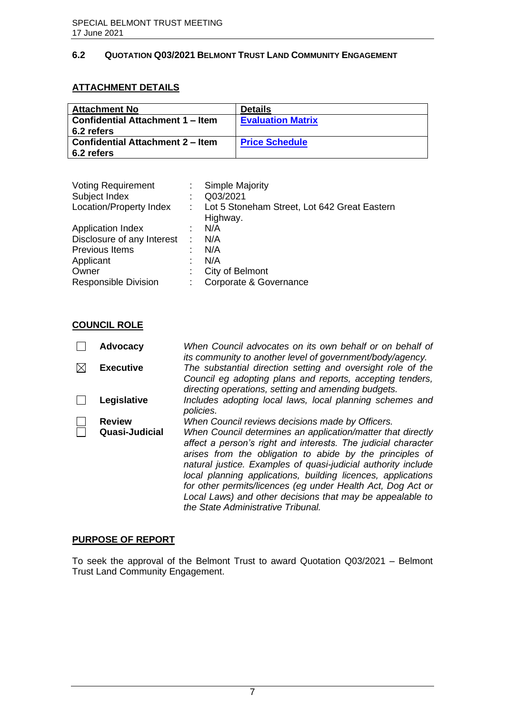# <span id="page-8-0"></span>**6.2 QUOTATION Q03/2021 BELMONT TRUST LAND COMMUNITY ENGAGEMENT**

# **ATTACHMENT DETAILS**

| <b>Attachment No</b>                                  | <b>Details</b>           |
|-------------------------------------------------------|--------------------------|
| <b>Confidential Attachment 1 – Item</b><br>6.2 refers | <b>Evaluation Matrix</b> |
| <b>Confidential Attachment 2 – Item</b><br>6.2 refers | <b>Price Schedule</b>    |

| <b>Voting Requirement</b>   |                | <b>Simple Majority</b>                       |
|-----------------------------|----------------|----------------------------------------------|
| Subject Index               | ÷              | Q03/2021                                     |
| Location/Property Index     |                | Lot 5 Stoneham Street, Lot 642 Great Eastern |
|                             |                | Highway.                                     |
| <b>Application Index</b>    |                | N/A                                          |
| Disclosure of any Interest  | $\mathbb{R}^2$ | N/A                                          |
| Previous Items              | ٠              | N/A                                          |
| Applicant                   |                | N/A                                          |
| Owner                       | ÷              | City of Belmont                              |
| <b>Responsible Division</b> | ÷              | Corporate & Governance                       |

# **COUNCIL ROLE**

| <b>Advocacy</b>  | When Council advocates on its own behalf or on behalf of<br>its community to another level of government/body/agency.                                                                                                                                                                                                                                                                                                                                                                       |
|------------------|---------------------------------------------------------------------------------------------------------------------------------------------------------------------------------------------------------------------------------------------------------------------------------------------------------------------------------------------------------------------------------------------------------------------------------------------------------------------------------------------|
| <b>Executive</b> | The substantial direction setting and oversight role of the<br>Council eg adopting plans and reports, accepting tenders,<br>directing operations, setting and amending budgets.                                                                                                                                                                                                                                                                                                             |
| Legislative      | Includes adopting local laws, local planning schemes and<br>policies.                                                                                                                                                                                                                                                                                                                                                                                                                       |
| <b>Review</b>    | When Council reviews decisions made by Officers.                                                                                                                                                                                                                                                                                                                                                                                                                                            |
| Quasi-Judicial   | When Council determines an application/matter that directly<br>affect a person's right and interests. The judicial character<br>arises from the obligation to abide by the principles of<br>natural justice. Examples of quasi-judicial authority include<br>local planning applications, building licences, applications<br>for other permits/licences (eg under Health Act, Dog Act or<br>Local Laws) and other decisions that may be appealable to<br>the State Administrative Tribunal. |

# **PURPOSE OF REPORT**

To seek the approval of the Belmont Trust to award Quotation Q03/2021 – Belmont Trust Land Community Engagement.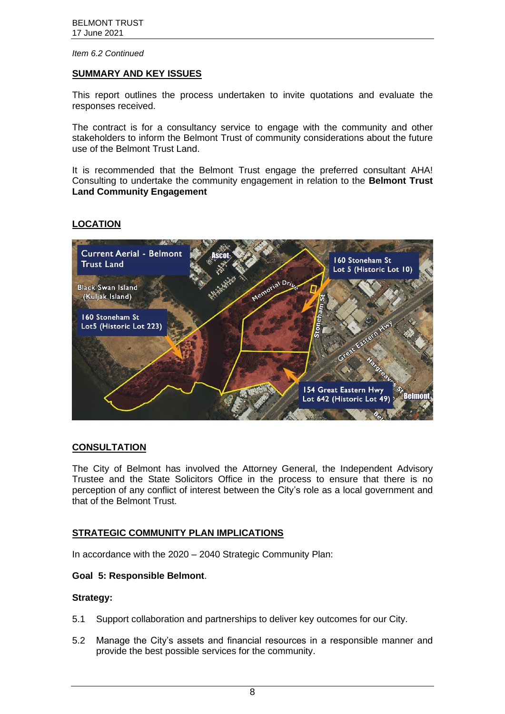#### **SUMMARY AND KEY ISSUES**

This report outlines the process undertaken to invite quotations and evaluate the responses received.

The contract is for a consultancy service to engage with the community and other stakeholders to inform the Belmont Trust of community considerations about the future use of the Belmont Trust Land.

It is recommended that the Belmont Trust engage the preferred consultant AHA! Consulting to undertake the community engagement in relation to the **Belmont Trust Land Community Engagement**

# **LOCATION**



# **CONSULTATION**

The City of Belmont has involved the Attorney General, the Independent Advisory Trustee and the State Solicitors Office in the process to ensure that there is no perception of any conflict of interest between the City's role as a local government and that of the Belmont Trust.

# **STRATEGIC COMMUNITY PLAN IMPLICATIONS**

In accordance with the 2020 – 2040 Strategic Community Plan:

# **Goal 5: Responsible Belmont**.

#### **Strategy:**

- 5.1 Support collaboration and partnerships to deliver key outcomes for our City.
- 5.2 Manage the City's assets and financial resources in a responsible manner and provide the best possible services for the community.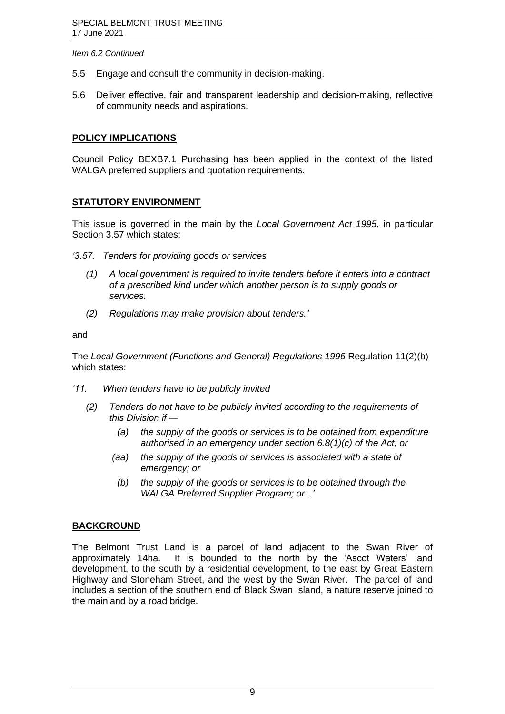- 5.5 Engage and consult the community in decision-making.
- 5.6 Deliver effective, fair and transparent leadership and decision-making, reflective of community needs and aspirations.

# **POLICY IMPLICATIONS**

Council Policy BEXB7.1 Purchasing has been applied in the context of the listed WALGA preferred suppliers and quotation requirements.

# **STATUTORY ENVIRONMENT**

This issue is governed in the main by the *Local Government Act 1995*, in particular Section 3.57 which states:

*'3.57. Tenders for providing goods or services*

- *(1) A local government is required to invite tenders before it enters into a contract of a prescribed kind under which another person is to supply goods or services.*
- *(2) Regulations may make provision about tenders.'*

#### and

The *Local Government (Functions and General) Regulations 1996* Regulation 11(2)(b) which states:

- *'11. When tenders have to be publicly invited*
	- *(2) Tenders do not have to be publicly invited according to the requirements of this Division if —*
		- *(a) the supply of the goods or services is to be obtained from expenditure authorised in an emergency under section 6.8(1)(c) of the Act; or*
		- *(aa) the supply of the goods or services is associated with a state of emergency; or*
		- *(b) the supply of the goods or services is to be obtained through the WALGA Preferred Supplier Program; or ..'*

# **BACKGROUND**

The Belmont Trust Land is a parcel of land adjacent to the Swan River of approximately 14ha. It is bounded to the north by the 'Ascot Waters' land development, to the south by a residential development, to the east by Great Eastern Highway and Stoneham Street, and the west by the Swan River. The parcel of land includes a section of the southern end of Black Swan Island, a nature reserve joined to the mainland by a road bridge.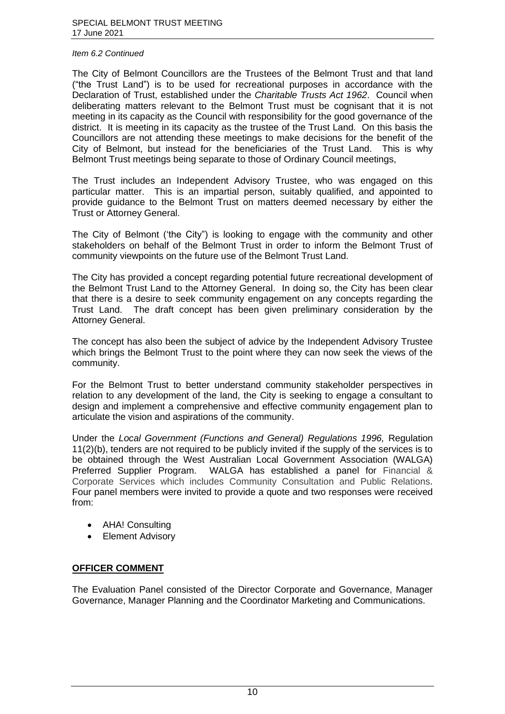The City of Belmont Councillors are the Trustees of the Belmont Trust and that land ("the Trust Land") is to be used for recreational purposes in accordance with the Declaration of Trust, established under the *Charitable Trusts Act 1962*. Council when deliberating matters relevant to the Belmont Trust must be cognisant that it is not meeting in its capacity as the Council with responsibility for the good governance of the district. It is meeting in its capacity as the trustee of the Trust Land. On this basis the Councillors are not attending these meetings to make decisions for the benefit of the City of Belmont, but instead for the beneficiaries of the Trust Land. This is why Belmont Trust meetings being separate to those of Ordinary Council meetings,

The Trust includes an Independent Advisory Trustee, who was engaged on this particular matter. This is an impartial person, suitably qualified, and appointed to provide guidance to the Belmont Trust on matters deemed necessary by either the Trust or Attorney General.

The City of Belmont ('the City") is looking to engage with the community and other stakeholders on behalf of the Belmont Trust in order to inform the Belmont Trust of community viewpoints on the future use of the Belmont Trust Land.

The City has provided a concept regarding potential future recreational development of the Belmont Trust Land to the Attorney General. In doing so, the City has been clear that there is a desire to seek community engagement on any concepts regarding the Trust Land. The draft concept has been given preliminary consideration by the Attorney General.

The concept has also been the subject of advice by the Independent Advisory Trustee which brings the Belmont Trust to the point where they can now seek the views of the community.

For the Belmont Trust to better understand community stakeholder perspectives in relation to any development of the land, the City is seeking to engage a consultant to design and implement a comprehensive and effective community engagement plan to articulate the vision and aspirations of the community.

Under the *Local Government (Functions and General) Regulations 1996,* Regulation 11(2)(b), tenders are not required to be publicly invited if the supply of the services is to be obtained through the West Australian Local Government Association (WALGA) Preferred Supplier Program. WALGA has established a panel for Financial & Corporate Services which includes Community Consultation and Public Relations. Four panel members were invited to provide a quote and two responses were received from:

- AHA! Consulting
- Element Advisory

# **OFFICER COMMENT**

The Evaluation Panel consisted of the Director Corporate and Governance, Manager Governance, Manager Planning and the Coordinator Marketing and Communications.